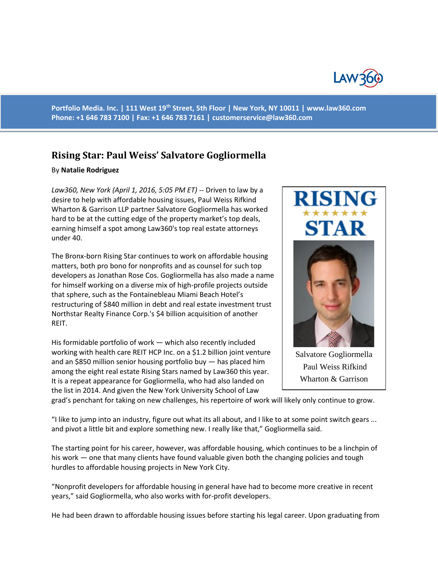

**Portfolio Media. Inc. | 111 West 19th Street, 5th Floor | New York, NY 10011 | www.law360.com Phone: +1 646 783 7100 | Fax: +1 646 783 7161 | [customerservice@law360.com](mailto:customerservice@law360.com)**

## **Rising Star: Paul Weiss' Salvatore Gogliormella**

## By **Natalie Rodriguez**

*Law360, New York (April 1, 2016, 5:05 PM ET)* -- Driven to law by a desire to help with affordable housing issues, Paul Weiss Rifkind Wharton & Garrison LLP partner Salvatore Gogliormella has worked hard to be at the cutting edge of the property market's top deals, earning himself a spot among Law360's top real estate attorneys under 40.

The Bronx-born Rising Star continues to work on affordable housing matters, both pro bono for nonprofits and as counsel for such top developers as Jonathan Rose Cos. Gogliormella has also made a name for himself working on a diverse mix of high-profile projects outside that sphere, such as the Fontainebleau Miami Beach Hotel's restructuring of \$840 million in debt and real estate investment trust Northstar Realty Finance Corp.'s \$4 billion acquisition of another REIT.

His formidable portfolio of work — which also recently included working with health care REIT HCP Inc. on a \$1.2 billion joint venture and an \$850 million senior housing portfolio buy — has placed him among the eight real estate Rising Stars named by Law360 this year. It is a repeat appearance for Gogliormella, who had also landed on the list in 2014. And given the New York University School of Law





Salvatore Gogliormella Paul Weiss Rifkind Wharton & Garrison

grad's penchant for taking on new challenges, his repertoire of work will likely only continue to grow.

"I like to jump into an industry, figure out what its all about, and I like to at some point switch gears ... and pivot a little bit and explore something new. I really like that," Gogliormella said.

The starting point for his career, however, was affordable housing, which continues to be a linchpin of his work — one that many clients have found valuable given both the changing policies and tough hurdles to affordable housing projects in New York City.

"Nonprofit developers for affordable housing in general have had to become more creative in recent years," said Gogliormella, who also works with for-profit developers.

He had been drawn to affordable housing issues before starting his legal career. Upon graduating from